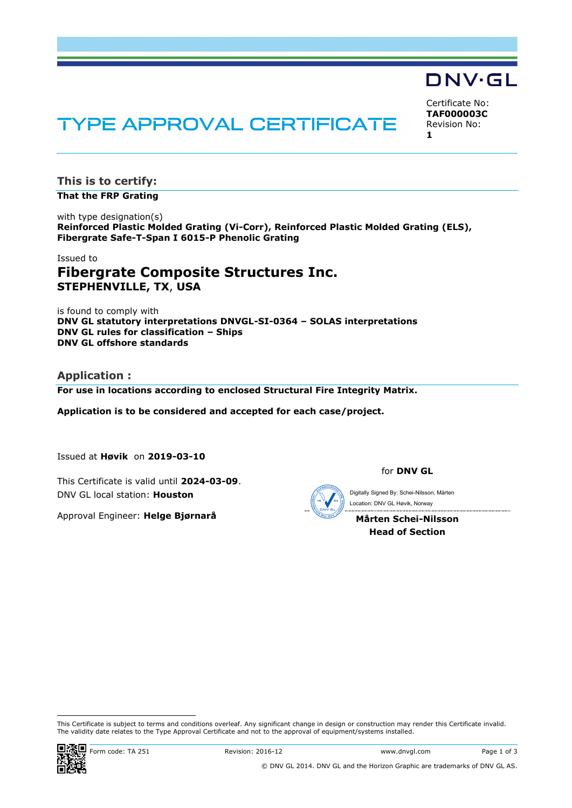## DNV·GL

Certificate No: **TAF000003C** Revision No: **1**

# **TYPE APPROVAL CERTIFICATE**

**This is to certify:**

**That the FRP Grating**

with type designation(s) **Reinforced Plastic Molded Grating (Vi-Corr), Reinforced Plastic Molded Grating (ELS), Fibergrate Safe-T-Span I 6015-P Phenolic Grating**

## Issued to **Fibergrate Composite Structures Inc. STEPHENVILLE, TX**, **USA**

is found to comply with **DNV GL statutory interpretations DNVGL-SI-0364 – SOLAS interpretations DNV GL rules for classification – Ships DNV GL offshore standards**

## **Application :**

**For use in locations according to enclosed Structural Fire Integrity Matrix.**

**Application is to be considered and accepted for each case/project.**

Issued at **Høvik** on **2019-03-10**

This Certificate is valid until **2024-03-09**. DNV GL local station: **Houston**

Approval Engineer: **Helge Bjørnarå**

for **DNV GL**

Location: DNV GL Høvik, Norway

**Mårten Schei-Nilsson Head of Section**

This Certificate is subject to terms and conditions overleaf. Any significant change in design or construction may render this Certificate invalid.<br>The validity date relates to the Type Approval Certificate and not to the This Certificate is subject to terms and conditions overleaf. Any significant change in design or construction may render this Certificate and subject to terms and conditions overleaf. Any significant change in design or c



ı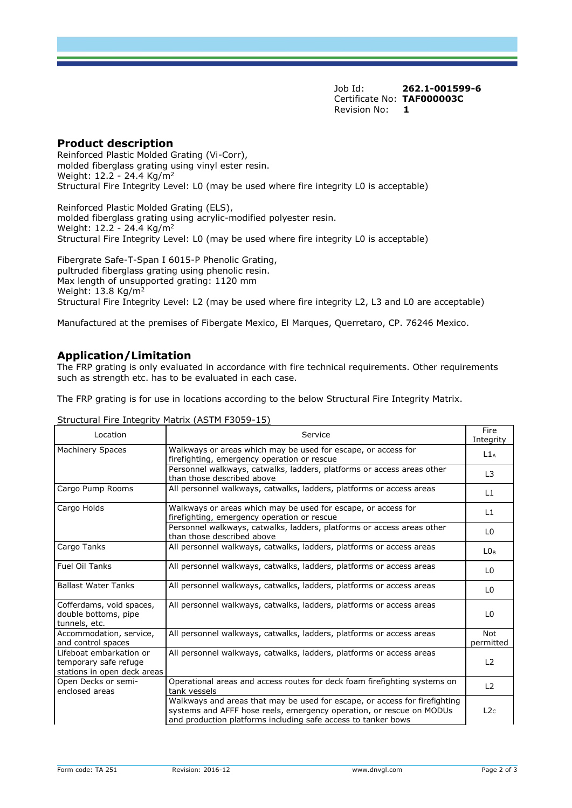Job Id: **262.1-001599-6** Certificate No: **TAF000003C** Revision No: **1**

## **Product description**

Reinforced Plastic Molded Grating (Vi-Corr), molded fiberglass grating using vinyl ester resin. Weight: 12.2 - 24.4 Kg/m<sup>2</sup> Structural Fire Integrity Level: L0 (may be used where fire integrity L0 is acceptable)

Reinforced Plastic Molded Grating (ELS), molded fiberglass grating using acrylic-modified polyester resin. Weight: 12.2 - 24.4 Kg/m<sup>2</sup> Structural Fire Integrity Level: L0 (may be used where fire integrity L0 is acceptable)

Fibergrate Safe-T-Span I 6015-P Phenolic Grating, pultruded fiberglass grating using phenolic resin. Max length of unsupported grating: 1120 mm Weight: 13.8 Kg/m<sup>2</sup> Structural Fire Integrity Level: L2 (may be used where fire integrity L2, L3 and L0 are acceptable)

Manufactured at the premises of Fibergate Mexico, El Marques, Querretaro, CP. 76246 Mexico.

## **Application/Limitation**

The FRP grating is only evaluated in accordance with fire technical requirements. Other requirements such as strength etc. has to be evaluated in each case.

The FRP grating is for use in locations according to the below Structural Fire Integrity Matrix.

#### Structural Fire Integrity Matrix (ASTM F3059-15)

| Location                                                                        | Service                                                                                                                                                                                                             | Fire<br>Integrity       |
|---------------------------------------------------------------------------------|---------------------------------------------------------------------------------------------------------------------------------------------------------------------------------------------------------------------|-------------------------|
| <b>Machinery Spaces</b>                                                         | Walkways or areas which may be used for escape, or access for<br>firefighting, emergency operation or rescue                                                                                                        | L1A                     |
|                                                                                 | Personnel walkways, catwalks, ladders, platforms or access areas other<br>than those described above                                                                                                                | L <sub>3</sub>          |
| Cargo Pump Rooms                                                                | All personnel walkways, catwalks, ladders, platforms or access areas                                                                                                                                                | L1                      |
| Cargo Holds                                                                     | Walkways or areas which may be used for escape, or access for<br>firefighting, emergency operation or rescue                                                                                                        | L1                      |
|                                                                                 | Personnel walkways, catwalks, ladders, platforms or access areas other<br>than those described above                                                                                                                | L <sub>0</sub>          |
| Cargo Tanks                                                                     | All personnel walkways, catwalks, ladders, platforms or access areas                                                                                                                                                | LO <sub>B</sub>         |
| Fuel Oil Tanks                                                                  | All personnel walkways, catwalks, ladders, platforms or access areas                                                                                                                                                | L <sub>0</sub>          |
| <b>Ballast Water Tanks</b>                                                      | All personnel walkways, catwalks, ladders, platforms or access areas                                                                                                                                                | L <sub>0</sub>          |
| Cofferdams, void spaces,<br>double bottoms, pipe<br>tunnels, etc.               | All personnel walkways, catwalks, ladders, platforms or access areas                                                                                                                                                | L <sub>0</sub>          |
| Accommodation, service,<br>and control spaces                                   | All personnel walkways, catwalks, ladders, platforms or access areas                                                                                                                                                | <b>Not</b><br>permitted |
| Lifeboat embarkation or<br>temporary safe refuge<br>stations in open deck areas | All personnel walkways, catwalks, ladders, platforms or access areas                                                                                                                                                | L2                      |
| Open Decks or semi-<br>enclosed areas                                           | Operational areas and access routes for deck foam firefighting systems on<br>tank vessels                                                                                                                           | L <sub>2</sub>          |
|                                                                                 | Walkways and areas that may be used for escape, or access for firefighting<br>systems and AFFF hose reels, emergency operation, or rescue on MODUs<br>and production platforms including safe access to tanker bows | L2 <sub>c</sub>         |